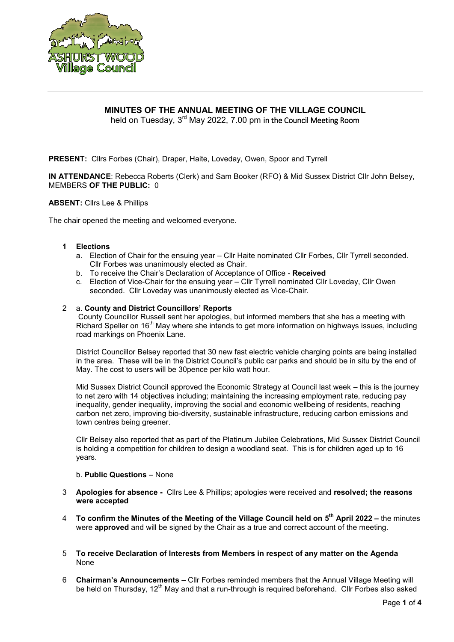

# **MINUTES OF THE ANNUAL MEETING OF THE VILLAGE COUNCIL**

held on Tuesday, 3<sup>rd</sup> May 2022, 7.00 pm in the Council Meeting Room

**PRESENT:** Cllrs Forbes (Chair), Draper, Haite, Loveday, Owen, Spoor and Tyrrell

**IN ATTENDANCE**: Rebecca Roberts (Clerk) and Sam Booker (RFO) & Mid Sussex District Cllr John Belsey, MEMBERS **OF THE PUBLIC:** 0

# **ABSENT:** Cllrs Lee & Phillips

The chair opened the meeting and welcomed everyone.

### **1 Elections**

- a. Election of Chair for the ensuing year Cllr Haite nominated Cllr Forbes, Cllr Tyrrell seconded. Cllr Forbes was unanimously elected as Chair.
- b. To receive the Chair's Declaration of Acceptance of Office **Received**
- c. Election of Vice-Chair for the ensuing year Cllr Tyrrell nominated Cllr Loveday, Cllr Owen seconded. Cllr Loveday was unanimously elected as Vice-Chair.

## 2 a. **County and District Councillors' Reports**

County Councillor Russell sent her apologies, but informed members that she has a meeting with Richard Speller on 16<sup>th</sup> May where she intends to get more information on highways issues, including road markings on Phoenix Lane.

District Councillor Belsey reported that 30 new fast electric vehicle charging points are being installed in the area. These will be in the District Council's public car parks and should be in situ by the end of May. The cost to users will be 30pence per kilo watt hour.

Mid Sussex District Council approved the Economic Strategy at Council last week – this is the journey to net zero with 14 objectives including; maintaining the increasing employment rate, reducing pay inequality, gender inequality, improving the social and economic wellbeing of residents, reaching carbon net zero, improving bio-diversity, sustainable infrastructure, reducing carbon emissions and town centres being greener.

Cllr Belsey also reported that as part of the Platinum Jubilee Celebrations, Mid Sussex District Council is holding a competition for children to design a woodland seat. This is for children aged up to 16 years.

### b. **Public Questions** – None

- 3 **Apologies for absence -** Cllrs Lee & Phillips; apologies were received and **resolved; the reasons were accepted**
- 4 **To confirm the Minutes of the Meeting of the Village Council held on 5 th April 2022 –** the minutes were **approved** and will be signed by the Chair as a true and correct account of the meeting.
- 5 **To receive Declaration of Interests from Members in respect of any matter on the Agenda** None
- 6 **Chairman's Announcements –** Cllr Forbes reminded members that the Annual Village Meeting will be held on Thursday,  $12<sup>th</sup>$  May and that a run-through is required beforehand. Cllr Forbes also asked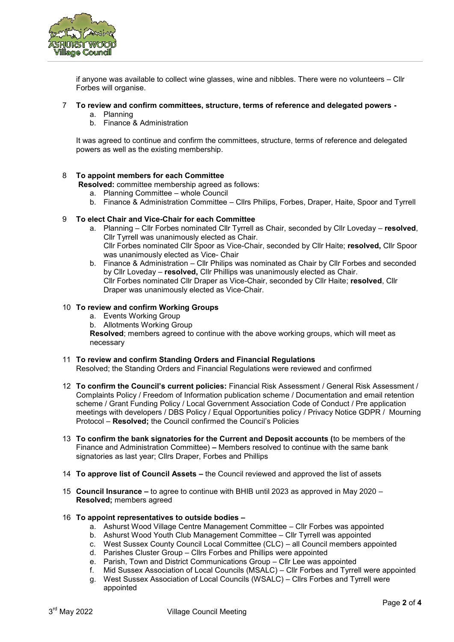

if anyone was available to collect wine glasses, wine and nibbles. There were no volunteers – Cllr Forbes will organise.

## 7 **To review and confirm committees, structure, terms of reference and delegated powers -**

- a. Planning
- b. Finance & Administration

It was agreed to continue and confirm the committees, structure, terms of reference and delegated powers as well as the existing membership.

## 8 **To appoint members for each Committee**

- **Resolved:** committee membership agreed as follows:
	- a. Planning Committee whole Council
	- b. Finance & Administration Committee Cllrs Philips, Forbes, Draper, Haite, Spoor and Tyrrell

## 9 **To elect Chair and Vice-Chair for each Committee**

- a. Planning Cllr Forbes nominated Cllr Tyrrell as Chair, seconded by Cllr Loveday **resolved**, Cllr Tyrrell was unanimously elected as Chair. Cllr Forbes nominated Cllr Spoor as Vice-Chair, seconded by Cllr Haite; **resolved,** Cllr Spoor was unanimously elected as Vice- Chair
- b. Finance & Administration Cllr Philips was nominated as Chair by Cllr Forbes and seconded by Cllr Loveday – **resolved,** Cllr Phillips was unanimously elected as Chair. Cllr Forbes nominated Cllr Draper as Vice-Chair, seconded by Cllr Haite; **resolved**, Cllr Draper was unanimously elected as Vice-Chair.

### 10 **To review and confirm Working Groups**

- a. Events Working Group
- b. Allotments Working Group

**Resolved**; members agreed to continue with the above working groups, which will meet as necessary

### 11 **To review and confirm Standing Orders and Financial Regulations**

Resolved; the Standing Orders and Financial Regulations were reviewed and confirmed

- 12 **To confirm the Council's current policies:** Financial Risk Assessment / General Risk Assessment / Complaints Policy / Freedom of Information publication scheme / Documentation and email retention scheme / Grant Funding Policy / Local Government Association Code of Conduct / Pre application meetings with developers / DBS Policy / Equal Opportunities policy / Privacy Notice GDPR / Mourning Protocol – **Resolved;** the Council confirmed the Council's Policies
- 13 **To confirm the bank signatories for the Current and Deposit accounts (**to be members of the Finance and Administration Committee) **–** Members resolved to continue with the same bank signatories as last year; Cllrs Draper, Forbes and Phillips
- 14 **To approve list of Council Assets –** the Council reviewed and approved the list of assets
- 15 **Council Insurance –** to agree to continue with BHIB until 2023 as approved in May 2020 **Resolved;** members agreed

### 16 **To appoint representatives to outside bodies –**

- a. Ashurst Wood Village Centre Management Committee Cllr Forbes was appointed
- b. Ashurst Wood Youth Club Management Committee Cllr Tyrrell was appointed
- c. West Sussex County Council Local Committee (CLC) all Council members appointed
- d. Parishes Cluster Group Cllrs Forbes and Phillips were appointed
- e. Parish, Town and District Communications Group Cllr Lee was appointed
- f. Mid Sussex Association of Local Councils (MSALC) Cllr Forbes and Tyrrell were appointed
- g. West Sussex Association of Local Councils (WSALC) Cllrs Forbes and Tyrrell were appointed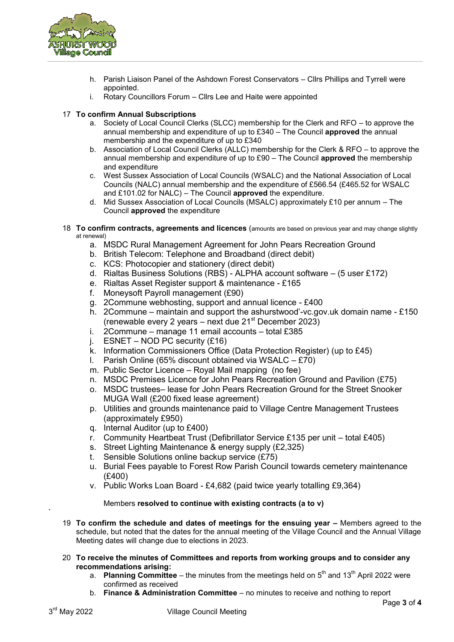

- h. Parish Liaison Panel of the Ashdown Forest Conservators Cllrs Phillips and Tyrrell were appointed.
- i. Rotary Councillors Forum Cllrs Lee and Haite were appointed

# 17 **To confirm Annual Subscriptions**

- a. Society of Local Council Clerks (SLCC) membership for the Clerk and RFO to approve the annual membership and expenditure of up to £340 – The Council **approved** the annual membership and the expenditure of up to £340
- b. Association of Local Council Clerks (ALLC) membership for the Clerk & RFO to approve the annual membership and expenditure of up to £90 – The Council **approved** the membership and expenditure
- c. West Sussex Association of Local Councils (WSALC) and the National Association of Local Councils (NALC) annual membership and the expenditure of £566.54 (£465.52 for WSALC and £101.02 for NALC) – The Council **approved** the expenditure.
- d. Mid Sussex Association of Local Councils (MSALC) approximately £10 per annum The Council **approved** the expenditure
- 18 **To confirm contracts, agreements and licences** (amounts are based on previous year and may change slightly at renewal)
	- a. MSDC Rural Management Agreement for John Pears Recreation Ground
	- b. British Telecom: Telephone and Broadband (direct debit)
	- c. KCS: Photocopier and stationery (direct debit)
	- d. Rialtas Business Solutions (RBS) ALPHA account software (5 user £172)
	- e. Rialtas Asset Register support & maintenance £165
	- f. Moneysoft Payroll management (£90)
	- g. 2Commune webhosting, support and annual licence £400
	- h.  $2$ Commune maintain and support the ashurstwood'-vc.gov.uk domain name £150 (renewable every 2 years – next due  $21<sup>st</sup>$  December 2023)
	- i. 2Commune manage 11 email accounts total £385
	- j.  $ESNET NOD PC$  security  $(£16)$
	- k. Information Commissioners Office (Data Protection Register) (up to £45)
	- l. Parish Online (65% discount obtained via WSALC  $E70$ )
	- m. Public Sector Licence Royal Mail mapping (no fee)
	- n. MSDC Premises Licence for John Pears Recreation Ground and Pavilion (£75)
	- o. MSDC trustees– lease for John Pears Recreation Ground for the Street Snooker MUGA Wall (£200 fixed lease agreement)
	- p. Utilities and grounds maintenance paid to Village Centre Management Trustees (approximately £950)
	- q. Internal Auditor (up to £400)
	- r. Community Heartbeat Trust (Defibrillator Service £135 per unit total £405)
	- s. Street Lighting Maintenance & energy supply (£2,325)
	- t. Sensible Solutions online backup service (£75)
	- u. Burial Fees payable to Forest Row Parish Council towards cemetery maintenance (£400)
	- v. Public Works Loan Board £4,682 (paid twice yearly totalling £9,364)

# Members **resolved to continue with existing contracts (a to v)**

- 19 **To confirm the schedule and dates of meetings for the ensuing year –** Members agreed to the schedule, but noted that the dates for the annual meeting of the Village Council and the Annual Village Meeting dates will change due to elections in 2023.
- 20 **To receive the minutes of Committees and reports from working groups and to consider any recommendations arising:**
	- a. Planning Committee the minutes from the meetings held on 5<sup>th</sup> and 13<sup>th</sup> April 2022 were confirmed as received
	- b. **Finance & Administration Committee**  no minutes to receive and nothing to report

\*